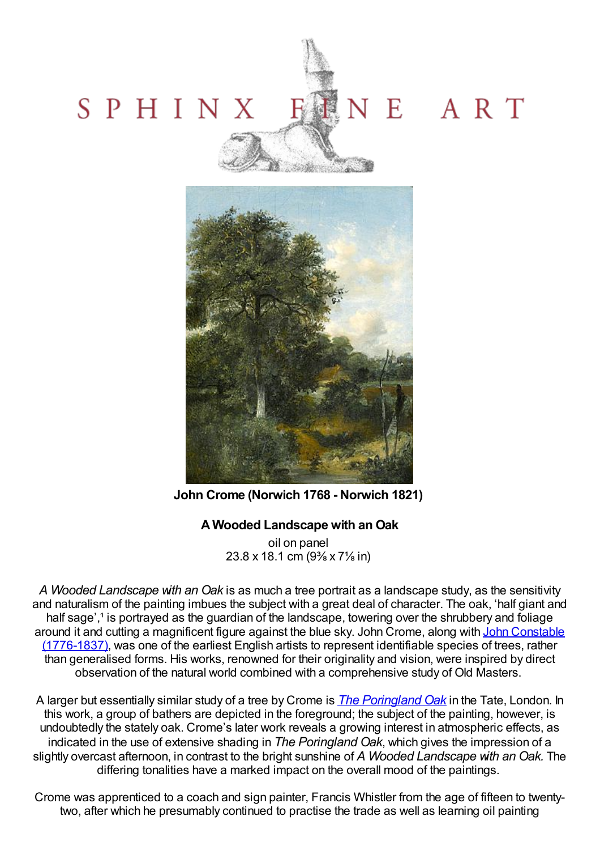



**John Crome (Norwich 1768 - Norwich 1821)**

# **A Wooded Landscape with an Oak**

oil on panel 23.8 x 18.1 cm (9⅜ x 7⅛ in)

*A Wooded Landscape with an Oak* is as much a tree portrait as a landscape study, as the sensitivity and naturalism of the painting imbues the subject with a great deal of character. The oak, 'half giant and half sage',<sup>1</sup> is portrayed as the guardian of the landscape, towering over the shrubbery and foliage around it and cutting a magnificent figure against the blue sky. John Crome, along with John Constable [\(1776-1837\),](Constable-John-DesktopDefault.aspx?tabid=45&tabindex=44&artistid=39186) was one of the earliest English artists to represent identifiable species of trees, rather than generalised forms. His works, renowned for their originality and vision, were inspired by direct observation of the natural world combined with a comprehensive study of Old Masters.

A larger but essentially similar study of a tree by Crome is *The [Poringland](http://www.tate.org.uk/art/artworks/crome-the-poringland-oak-n02674) Oak* in the Tate, London. In this work, a group of bathers are depicted in the foreground; the subject of the painting, however, is undoubtedly the stately oak. Crome's later work reveals a growing interest in atmospheric effects, as indicated in the use of extensive shading in *The Poringland Oak*, which gives the impression of a slightly overcast afternoon, in contrast to the bright sunshine of *A Wooded Landscape with an Oak.* The differing tonalities have a marked impact on the overall mood of the paintings.

Crome was apprenticed to a coach and sign painter, Francis Whistler from the age of fifteen to twentytwo, after which he presumably continued to practise the trade as well as learning oil painting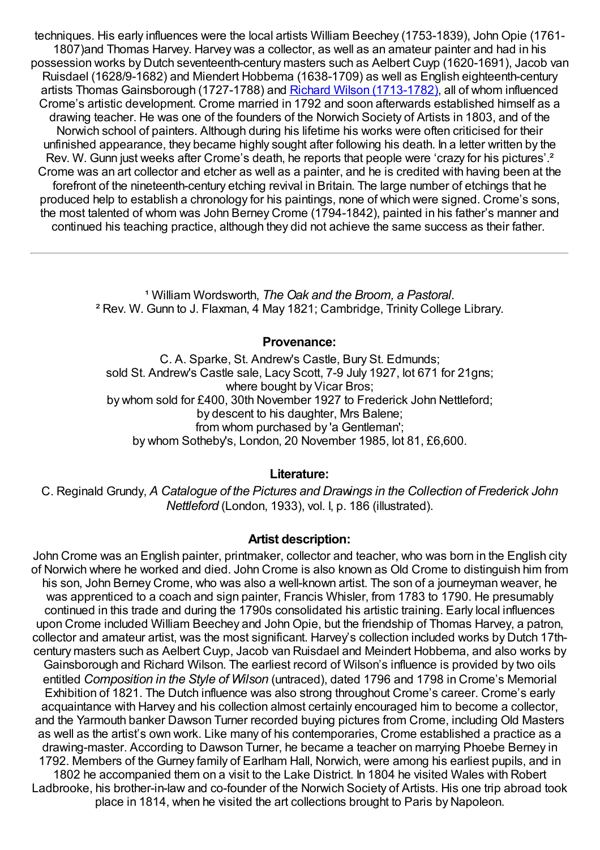techniques. His early influences were the local artists William Beechey (1753-1839), JohnOpie (1761- 1807)and Thomas Harvey. Harvey was a collector, as well as an amateur painter and had in his possession works by Dutch seventeenth-century masters such as Aelbert Cuyp (1620-1691), Jacob van Ruisdael (1628/9-1682) and Miendert Hobbema (1638-1709) as well as English eighteenth-century artists Thomas Gainsborough (1727-1788) and Richard Wilson [\(1713-1782\),](Wilson-Richard-DesktopDefault.aspx?tabid=45&tabindex=44&artistid=38084) all of whom influenced Crome's artistic development. Crome married in 1792 and soon afterwards established himself as a drawing teacher. He was one of the founders of the Norwich Society of Artists in 1803, and of the Norwich school of painters. Although during his lifetime his works were often criticised for their unfinished appearance, they became highly sought after following his death. In a letter written by the Rev. W. Gunn just weeks after Crome's death, he reports that people were 'crazy for his pictures'.<sup>2</sup> Crome was an art collector and etcher as well as a painter, and he is credited with having been at the forefront of the nineteenth-century etching revival in Britain. The large number of etchings that he produced help to establish a chronology for his paintings, none of which were signed. Crome's sons, the most talented of whom was John Berney Crome (1794-1842), painted in his father's manner and continued his teaching practice, although they did not achieve the same success as their father.

> ¹ William Wordsworth, *The Oak and the Broom, a Pastoral.* ² Rev. W. Gunn to J. Flaxman, 4 May 1821; Cambridge, Trinity College Library.

### **Provenance:**

C. A. Sparke, St. Andrew's Castle, Bury St. Edmunds; sold St. Andrew's Castle sale, Lacy Scott, 7-9 July 1927, lot 671 for 21gns; where bought by Vicar Bros; by whom sold for £400, 30th November 1927 to Frederick John Nettleford; by descent to his daughter, Mrs Balene; from whom purchased by 'a Gentleman'; by whom Sotheby's, London, 20 November 1985, lot 81, £6,600.

## **Literature:**

C. Reginald Grundy, *A Catalogue of the Pictures and Drawings in the Collection of Frederick John Nettleford* (London, 1933), vol. I, p. 186 (illustrated).

### **Artist description:**

John Crome was an English painter, printmaker, collector and teacher, who was born in the English city of Norwich where he worked and died. John Crome is also known as Old Crome to distinguish him from his son, John Berney Crome, who was also a well-known artist. The son of a journeyman weaver, he was apprenticed to a coach and sign painter, Francis Whisler, from 1783 to 1790. He presumably continued in this trade and during the 1790s consolidated his artistic training. Early local influences upon Crome included William Beechey and JohnOpie, but the friendship of Thomas Harvey, a patron, collector and amateur artist, was the most significant. Harvey's collection included works by Dutch 17thcentury masters such as Aelbert Cuyp, Jacob van Ruisdael and Meindert Hobbema, and also works by Gainsborough and Richard Wilson. The earliest record of Wilson's influence is provided by two oils entitled *Composition in the Style of Wilson* (untraced), dated 1796 and 1798 in Crome's Memorial Exhibition of 1821. The Dutch influence was also strong throughout Crome's career. Crome's early acquaintance with Harvey and his collection almost certainly encouraged him to become a collector, and the Yarmouth banker Dawson Turner recorded buying pictures from Crome, including Old Masters as well as the artist's own work. Like many of his contemporaries, Crome established a practice as a drawing-master. According to Dawson Turner, he became a teacher on marrying Phoebe Berney in 1792. Members of the Gurney family of Earlham Hall, Norwich, were among his earliest pupils, and in 1802 he accompanied them on a visit to the Lake District. In 1804 he visited Wales with Robert Ladbrooke, his brother-in-law and co-founder of the Norwich Society of Artists. His one trip abroad took place in 1814, when he visited the art collections brought to Paris by Napoleon.